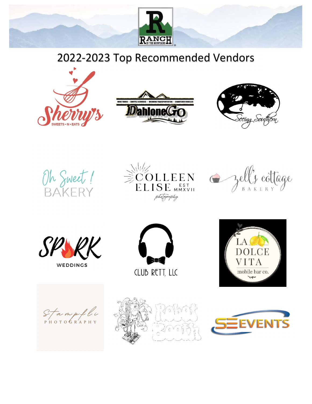

# 2022-2023 Top Recommended Vendors























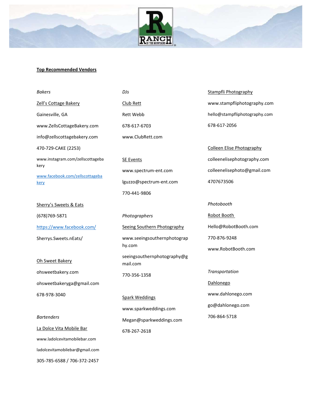

# Top Recommended Vendors

| <b>Bakers</b>                           | DJs                                     | Stampfli Photography             |
|-----------------------------------------|-----------------------------------------|----------------------------------|
| Zell's Cottage Bakery                   | Club Rett                               | www.stampfliphotography.com      |
| Gainesville, GA                         | Rett Webb                               | hello@stampfliphotography.com    |
| www.ZellsCottageBakery.com              | 678-617-6703                            | 678-617-2056                     |
| info@zellscottagebakery.com             | www.ClubRett.com                        |                                  |
| 470-729-CAKE (2253)                     |                                         | <b>Colleen Elise Photography</b> |
| www.instagram.com/zellscottageba        | <b>SE Events</b>                        | colleenelisephotography.com      |
| kery<br>www.facebook.com/zellscottageba | www.spectrum-ent.com                    | colleenelisephoto@gmail.com      |
| kery                                    | lguzzo@spectrum-ent.com                 | 4707673506                       |
|                                         | 770-441-9806                            |                                  |
| Sherry's Sweets & Eats                  |                                         | Photobooth                       |
| (678)769-5871                           | Photographers                           | Robot Booth                      |
| https://www.facebook.com/               | Seeing Southern Photography             | Hello@RobotBooth.com             |
| Sherrys.Sweets.nEats/                   | www.seeingsouthernphotograp             | 770-876-9248                     |
|                                         | hy.com                                  | www.RobotBooth.com               |
| Oh Sweet Bakery                         | seeingsouthernphotography@g<br>mail.com |                                  |
| ohsweetbakery.com                       | 770-356-1358                            | Transportation                   |
| ohsweetbakeryga@gmail.com               |                                         | Dahlonego                        |
| 678-978-3040                            | <b>Spark Weddings</b>                   | www.dahlonego.com                |
|                                         | www.sparkweddings.com                   | go@dahlonego.com                 |
| <b>Bartenders</b>                       | Megan@sparkweddings.com                 | 706-864-5718                     |
| La Dolce Vita Mobile Bar                | 678-267-2618                            |                                  |
| www.ladolcevitamobilebar.com            |                                         |                                  |
| ladolcevitamobilebar@gmail.com          |                                         |                                  |

305-785-6588 / 706-372-2457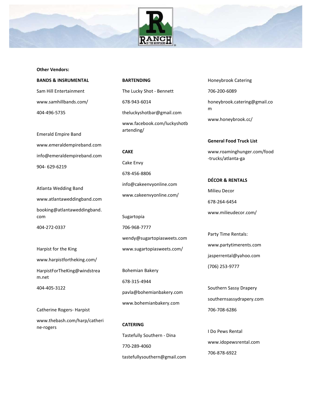



#### BANDS & INSRUMENTAL

Sam Hill Entertainment www.samhillbands.com/ 404-496-5735

Emerald Empire Band www.emeraldempireband.com info@emeraldempireband.com 904- 629-6219

Atlanta Wedding Band www.atlantaweddingband.com booking@atlantaweddingband. com

404-272-0337

Harpist for the King www.harpistfortheking.com/ HarpistForTheKing@windstrea m.net

404-405-3122

Catherine Rogers- Harpist

www.thebash.com/harp/catheri ne-rogers

BARTENDING

The Lucky Shot - Bennett 678-943-6014 theluckyshotbar@gmail.com www.facebook.com/luckyshotb

CAKE

artending/

Cake Envy 678-456-8806 info@cakeenvyonline.com www.cakeenvyonline.com/

Sugartopia 706-968-7777 wendy@sugartopiasweets.com www.sugartopiasweets.com/

Bohemian Bakery 678-315-4944 pavla@bohemianbakery.com www.bohemianbakery.com

CATERING Tastefully Southern - Dina 770-289-4060 tastefullysouthern@gmail.com Honeybrook Catering 706-200-6089 honeybrook.catering@gmail.co m www.honeybrook.cc/

#### General Food Truck List

www.roaminghunger.com/food -trucks/atlanta-ga

DÉCOR & RENTALS Milieu Decor 678-264-6454 www.milieudecor.com/

Party Time Rentals: www.partytimerents.com jasperrental@yahoo.com (706) 253-9777

Southern Sassy Drapery southernsassydrapery.com 706-708-6286

I Do Pews Rental www.idopewsrental.com 706-878-6922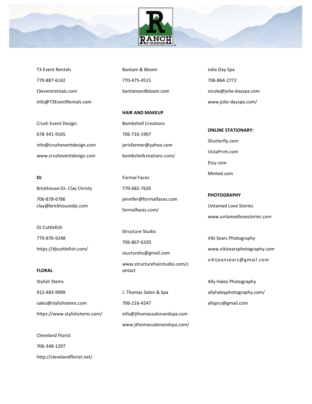

T3 Event Rentals 770-887-6142 t3eventrentals.com Info@T3EventRentals.com

Crush Event Design: 678-341-9165 info@crusheventdesign.com www.crusheventdesign.com

DJ

Brickhouse DJ- Clay Christy 706-878-6786 clay@brickhousedjs.com

DJ Cuttlefish 770-876-9248 https://djcuttlefish.com/

#### FLORAL

Stylish Stems

912-483-9909

sales@stylishstems.com https://www.stylishstems.com/ Bantam & Bloom 770-475-4515 bantamandbloom.com

HAIR AND MAKEUP Bombshell Creations 706-716-1907 jerisfarmer@yahoo.com bombshellcreations.com/

Formal Faces 770-682-7626 jennifer@formalfaces.com formalfaces.com/

Structure Studio

706-867-6320

stucturehs@gmail.com

www.structurehairstudio.com/c ontact

J. Thomas Salon & Spa 706-216-4247 info@jthomassalonandspa.com www.jthomassalonandspa.com/ Jolie Day Spa 706-864-2772 nicole@jolie-dayspa.com www.jolie-dayspa.com/

ONLINE STATIONARY: Shutterfly.com VistaPrint.com Etsy.com Minted.com

## PHOTOGRAPHY

Untamed Love Stories www.untamedlovestories.com

Viki Sears Photography www.vikisearsphotography.com vikijeansears@gmail.com

Ally Haley Photography allyhaleyphotography.com/ allypru@gmail.com

Cleveland Florist

706-348-1297

http://clevelandflorist.net/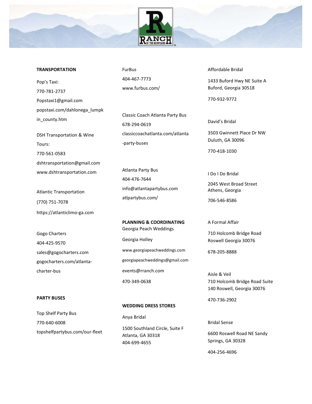



Pop's Taxi: 770-781-2737 Popstaxi1@gmail.com popstaxi.com/dahlonega\_lumpk in county.htm

DSH Transportation & Wine Tours: 770-561-0583 dshtransportation@gmail.com www.dshtransportation.com

Atlantic Transportation (770) 751-7078 https://atlanticlimo-ga.com

Gogo Charters 404-425-9570 sales@gogocharters.com gogocharters.com/atlantacharter-bus

## PARTY BUSES

WEDDING DRESS STORES

Top Shelf Party Bus 770-640-6008 topshelfpartybus.com/our-fleet FurBus 404-467-7773 www.furbus.com/

Classic Coach Atlanta Party Bus 678-294-0619 classiccoachatlanta.com/atlanta -party-buses

Atlanta Party Bus 404-476-7644 info@atlantapartybus.com atlpartybus.com/

PLANNING & COORDINATING Georgia Peach Weddings Georgia Holley www.georgiapeachweddings.com georgiapeachweddings@gmail.com events@rranch.com 470-349-0638

Anya Bridal 1500 Southland Circle, Suite F Atlanta, GA 30318 404-699-4655

Affordable Bridal

1433 Buford Hwy NE Suite A Buford, Georgia 30518

770-932-9772

David's Bridal

3503 Gwinnett Place Dr NW Duluth, GA 30096

770-418-1030

I Do I Do Bridal

2045 West Broad Street Athens, Georgia

706-546-8586

A Formal Affair

710 Holcomb Bridge Road Roswell Georgia 30076

678-205-8888

Aisle & Veil 710 Holcomb Bridge Road Suite 140 Roswell, Georgia 30076

470-736-2902

Bridal Sense

6600 Roswell Road NE Sandy Springs, GA 30328

404-256-4696